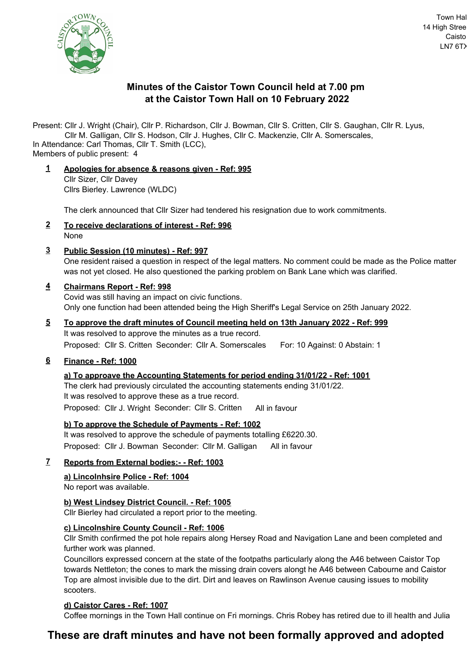

# **Minutes of the Caistor Town Council held at 7.00 pm at the Caistor Town Hall on 10 February 2022**

Present: Cllr J. Wright (Chair), Cllr P. Richardson, Cllr J. Bowman, Cllr S. Critten, Cllr S. Gaughan, Cllr R. Lyus,

Cllr M. Galligan, Cllr S. Hodson, Cllr J. Hughes, Cllr C. Mackenzie, Cllr A. Somerscales,

Members of public present: 4 In Attendance: Carl Thomas, Cllr T. Smith (LCC),

**1 Apologies for absence & reasons given - Ref: 995** Cllr Sizer, Cllr Davey Cllrs Bierley. Lawrence (WLDC)

The clerk announced that Cllr Sizer had tendered his resignation due to work commitments.

- **2 To receive declarations of interest Ref: 996** None
- **3 Public Session (10 minutes) Ref: 997**

One resident raised a question in respect of the legal matters. No comment could be made as the Police matter was not yet closed. He also questioned the parking problem on Bank Lane which was clarified.

# **4 Chairmans Report - Ref: 998**

Covid was still having an impact on civic functions. Only one function had been attended being the High Sheriff's Legal Service on 25th January 2022.

**5 To approve the draft minutes of Council meeting held on 13th January 2022 - Ref: 999** It was resolved to approve the minutes as a true record. Proposed: Cllr S. Critten Seconder: Cllr A. Somerscales For: 10 Against: 0 Abstain: 1

# **6 Finance - Ref: 1000**

# **a) To approave the Accounting Statements for period ending 31/01/22 - Ref: 1001**

The clerk had previously circulated the accounting statements ending 31/01/22. It was resolved to approve these as a true record. Proposed: Cllr J. Wright Seconder: Cllr S. Critten All in favour

# **b) To approve the Schedule of Payments - Ref: 1002**

It was resolved to approve the schedule of payments totalling £6220.30. Proposed: Cllr J. Bowman Seconder: Cllr M. Galligan All in favour

# **7 Reports from External bodies:- - Ref: 1003**

# **a) Lincolnhsire Police - Ref: 1004**

No report was available.

# **b) West Lindsey District Council. - Ref: 1005**

Cllr Bierley had circulated a report prior to the meeting.

# **c) Lincolnshire County Council - Ref: 1006**

Cllr Smith confirmed the pot hole repairs along Hersey Road and Navigation Lane and been completed and further work was planned.

Councillors expressed concern at the state of the footpaths particularly along the A46 between Caistor Top towards Nettleton; the cones to mark the missing drain covers alongt he A46 between Cabourne and Caistor Top are almost invisible due to the dirt. Dirt and leaves on Rawlinson Avenue causing issues to mobility scooters.

# **d) Caistor Cares - Ref: 1007**

Coffee mornings in the Town Hall continue on Fri mornings. Chris Robey has retired due to ill health and Julia

# **These are draft minutes and have not been formally approved and adopted**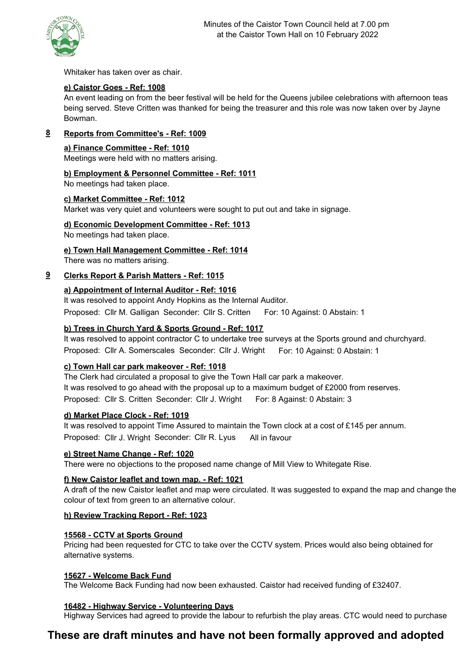

Whitaker has taken over as chair.

# **e) Caistor Goes - Ref: 1008**

An event leading on from the beer festival will be held for the Queens jubilee celebrations with afternoon teas being served. Steve Critten was thanked for being the treasurer and this role was now taken over by Jayne Bowman.

## **8 Reports from Committee's - Ref: 1009**

#### **a) Finance Committee - Ref: 1010**

Meetings were held with no matters arising.

## **b) Employment & Personnel Committee - Ref: 1011**

No meetings had taken place.

## **c) Market Committee - Ref: 1012**

Market was very quiet and volunteers were sought to put out and take in signage.

## **d) Economic Development Committee - Ref: 1013**

No meetings had taken place.

## **e) Town Hall Management Committee - Ref: 1014**

There was no matters arising.

## **9 Clerks Report & Parish Matters - Ref: 1015**

## **a) Appointment of Internal Auditor - Ref: 1016**

It was resolved to appoint Andy Hopkins as the Internal Auditor. Proposed: Cllr M. Galligan Seconder: Cllr S. Critten For: 10 Against: 0 Abstain: 1

## **b) Trees in Church Yard & Sports Ground - Ref: 1017**

It was resolved to appoint contractor C to undertake tree surveys at the Sports ground and churchyard. Proposed: Cllr A. Somerscales Seconder: Cllr J. Wright For: 10 Against: 0 Abstain: 1

## **c) Town Hall car park makeover - Ref: 1018**

The Clerk had circulated a proposal to give the Town Hall car park a makeover. It was resolved to go ahead with the proposal up to a maximum budget of £2000 from reserves. Proposed: Cllr S. Critten Seconder: Cllr J. Wright For: 8 Against: 0 Abstain: 3

## **d) Market Place Clock - Ref: 1019**

It was resolved to appoint Time Assured to maintain the Town clock at a cost of £145 per annum. Proposed: Cllr J. Wright Seconder: Cllr R. Lyus All in favour

## **e) Street Name Change - Ref: 1020**

There were no objections to the proposed name change of Mill View to Whitegate Rise.

## **f) New Caistor leaflet and town map. - Ref: 1021**

A draft of the new Caistor leaflet and map were circulated. It was suggested to expand the map and change the colour of text from green to an alternative colour.

## **h) Review Tracking Report - Ref: 1023**

## **15568 - CCTV at Sports Ground**

Pricing had been requested for CTC to take over the CCTV system. Prices would also being obtained for alternative systems.

## **15627 - Welcome Back Fund**

The Welcome Back Funding had now been exhausted. Caistor had received funding of £32407.

## **16482 - Highway Service - Volunteering Days**

Highway Services had agreed to provide the labour to refurbish the play areas. CTC would need to purchase

# **These are draft minutes and have not been formally approved and adopted**